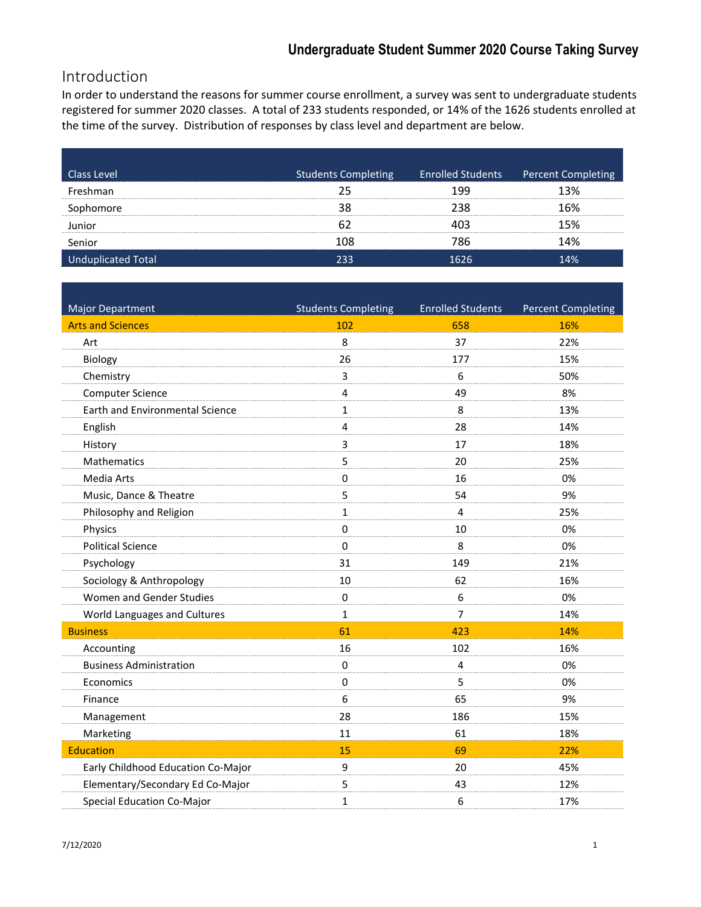# Introduction

In order to understand the reasons for summer course enrollment, a survey was sent to undergraduate students registered for summer 2020 classes. A total of 233 students responded, or 14% of the 1626 students enrolled at the time of the survey. Distribution of responses by class level and department are below.

| <b>Class Level</b> | <b>Students Completing</b> | Enrolled Students Percent Completing |
|--------------------|----------------------------|--------------------------------------|
| shmanبs            |                            | 3%                                   |
| homoreد            |                            | 6%                                   |
|                    |                            | 5%                                   |
| Senior             | 108                        | 4%                                   |
| Total              | つろろ                        |                                      |

| <b>Major Department</b>                | <b>Students Completing</b> | <b>Enrolled Students</b> | Percent Completing |
|----------------------------------------|----------------------------|--------------------------|--------------------|
| <b>Arts and Sciences</b>               | 102                        | 658                      | 16%                |
| Art                                    | 8                          | 37                       | 22%                |
| Biology                                | 26                         | 177                      | 15%                |
| Chemistry                              | 3                          | 6                        | 50%                |
| <b>Computer Science</b>                | 4                          | 49                       | 8%                 |
| <b>Earth and Environmental Science</b> | $\mathbf{1}$               | 8                        | 13%                |
| English                                | $\overline{4}$             | 28                       | 14%                |
| History                                | 3                          | 17                       | 18%                |
| Mathematics                            | 5                          | 20                       | 25%                |
| Media Arts                             | 0                          | 16                       | 0%                 |
| Music, Dance & Theatre                 | 5                          | 54                       | 9%                 |
| Philosophy and Religion                | $\mathbf{1}$               | 4                        | 25%                |
| Physics                                | $\Omega$                   | 10                       | 0%                 |
| <b>Political Science</b>               | $\Omega$                   | 8                        | 0%                 |
| Psychology                             | 31                         | 149                      | 21%                |
| Sociology & Anthropology               | 10                         | 62                       | 16%                |
| Women and Gender Studies               | 0                          | 6                        | 0%                 |
| World Languages and Cultures           | $\mathbf{1}$               | $\overline{7}$           | 14%                |
| <b>Business</b>                        | 61                         | 423                      | 14%                |
| Accounting                             | 16                         | 102                      | 16%                |
| <b>Business Administration</b>         | 0                          | $\overline{4}$           | 0%                 |
| Economics                              | 0                          | 5                        | 0%                 |
| Finance                                | 6                          | 65                       | 9%                 |
| Management                             | 28                         | 186                      | 15%                |
| Marketing                              | 11                         | 61                       | 18%                |
| <b>Education</b>                       | 15                         | 69                       | 22%                |
| Early Childhood Education Co-Major     | 9                          | 20                       | 45%                |
| Elementary/Secondary Ed Co-Major       | 5                          | 43                       | 12%                |
| <b>Special Education Co-Major</b>      | $\mathbf{1}$               | 6                        | 17%                |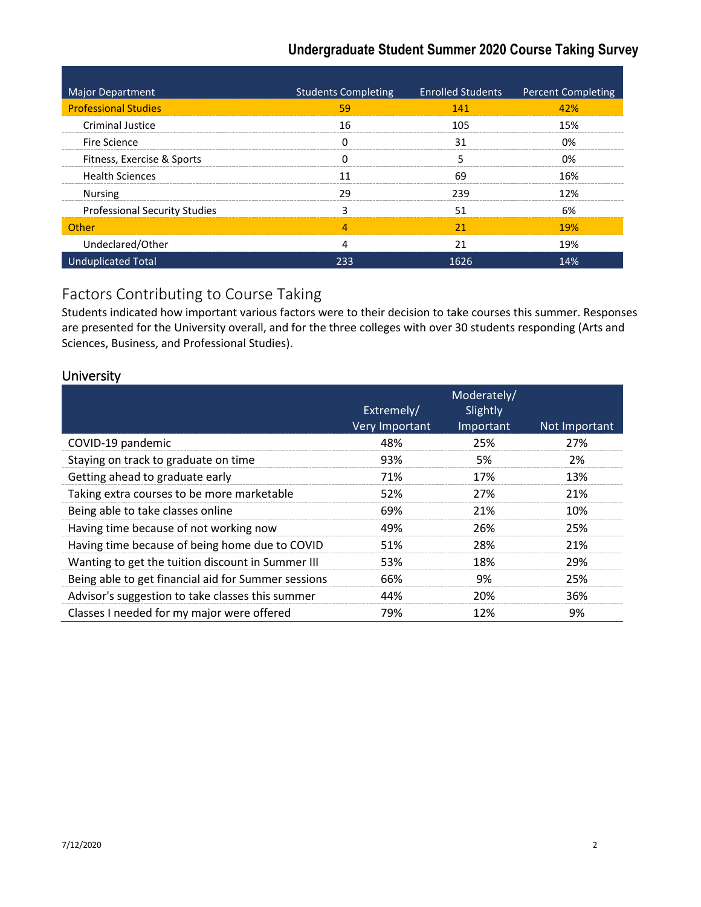| <b>Major Department</b>              | <b>Students Completing</b> | <b>Enrolled Students</b> | <b>Percent Completing</b> |
|--------------------------------------|----------------------------|--------------------------|---------------------------|
| <b>Professional Studies</b>          | 59                         | 141                      | 42%                       |
| Criminal Justice                     | 16                         | 105                      | 15%                       |
| Fire Science                         |                            | 31                       | በ%                        |
| Fitness, Exercise & Sports           |                            |                          | በ%                        |
| <b>Health Sciences</b>               |                            |                          | 16%                       |
| <b>Nursing</b>                       | α                          | 239                      | 1 ን%                      |
| <b>Professional Security Studies</b> |                            | 51                       | 6%                        |
| Other                                |                            | 21                       | 19%                       |
| Undeclared/Other                     |                            | 21                       | 19%                       |
| <b>Unduplicated Total</b>            | 233                        | 1626                     | 14%                       |

### Factors Contributing to Course Taking

Students indicated how important various factors were to their decision to take courses this summer. Responses are presented for the University overall, and for the three colleges with over 30 students responding (Arts and Sciences, Business, and Professional Studies).

#### **University**

|                                                     | Extremely/<br>Very Important | Moderately/<br>Slightly<br>Important | Not Important |
|-----------------------------------------------------|------------------------------|--------------------------------------|---------------|
| COVID-19 pandemic                                   | 48%                          | 25%                                  | 27%           |
| Staying on track to graduate on time                | 93%                          | 5%                                   | 2%            |
| Getting ahead to graduate early                     | 71%                          | 17%                                  | 13%           |
| Taking extra courses to be more marketable          | 52%                          | 27%                                  | 21%           |
| Being able to take classes online                   | 69%                          | 21%                                  | 10%           |
| Having time because of not working now              | 49%                          | 26%                                  | 25%           |
| Having time because of being home due to COVID      | 51%                          | 28%                                  | 21%           |
| Wanting to get the tuition discount in Summer III   | 53%                          | 18%                                  | 29%           |
| Being able to get financial aid for Summer sessions | 66%                          | 9%                                   | 25%           |
| Advisor's suggestion to take classes this summer    | 44%                          | 20%                                  | 36%           |
| Classes I needed for my major were offered          | 79%                          | 12%                                  | 9%            |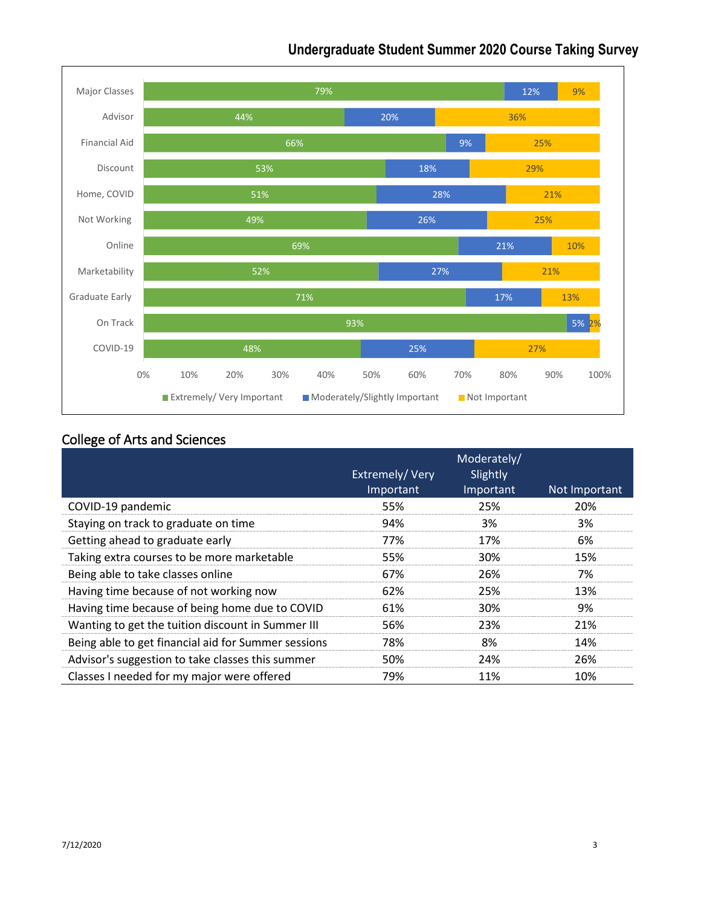

### College of Arts and Sciences

|                                                     | Extremely/Very<br>Important | Moderately/<br>Slightly<br>Important | Not Important |
|-----------------------------------------------------|-----------------------------|--------------------------------------|---------------|
| COVID-19 pandemic                                   | 55%                         | 25%                                  | 20%           |
| Staying on track to graduate on time                | 94%                         | 3%                                   | 3%            |
| Getting ahead to graduate early                     | 77%                         | 17%                                  | 6%            |
| Taking extra courses to be more marketable          | 55%                         | 30%                                  | 15%           |
| Being able to take classes online                   | 67%                         | 26%                                  | 7%            |
| Having time because of not working now              | 62%                         | 25%                                  | 13%           |
| Having time because of being home due to COVID      | 61%                         | 30%                                  | 9%            |
| Wanting to get the tuition discount in Summer III   | 56%                         | 23%                                  | 21%           |
| Being able to get financial aid for Summer sessions | 78%                         | 8%                                   | 14%           |
| Advisor's suggestion to take classes this summer    | 50%                         | 24%                                  | 26%           |
| Classes I needed for my major were offered          | 79%                         | 11%                                  | 10%           |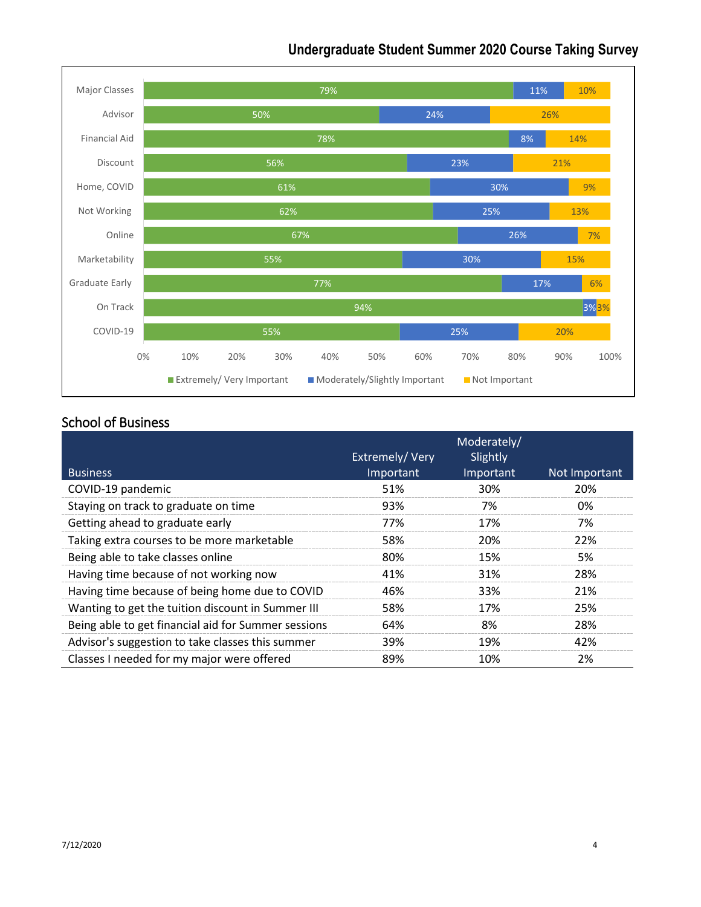

#### School of Business

| <b>Business</b>                                     | Extremely/Very<br>Important | Moderately/<br>Slightly<br>Important | Not Important |
|-----------------------------------------------------|-----------------------------|--------------------------------------|---------------|
| COVID-19 pandemic                                   | 51%                         | 30%                                  | 20%           |
| Staying on track to graduate on time                | 93%                         | 7%                                   | 0%            |
| Getting ahead to graduate early                     | 77%                         | 17%                                  | 7%            |
| Taking extra courses to be more marketable          | 58%                         | 20%                                  | 22%           |
| Being able to take classes online                   | 80%                         | 15%                                  | 5%            |
| Having time because of not working now              | 41%                         | 31%                                  | 28%           |
| Having time because of being home due to COVID      | 46%                         | 33%                                  | 21%           |
| Wanting to get the tuition discount in Summer III   | 58%                         | 17%                                  | 25%           |
| Being able to get financial aid for Summer sessions | 64%                         | 8%                                   | 28%           |
| Advisor's suggestion to take classes this summer    | 39%                         | 19%                                  | 42%           |
| Classes I needed for my major were offered          | 89%                         | 10%                                  | 2%            |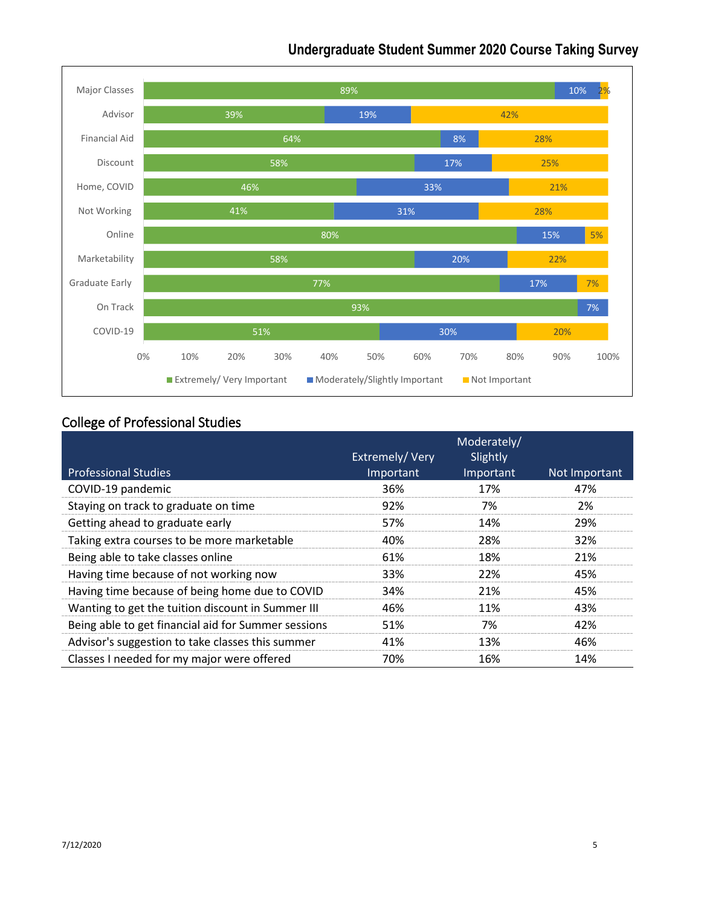

#### College of Professional Studies

| <b>Professional Studies</b>                         | Extremely/Very<br>Important | Moderately/<br>Slightly<br>Important | Not Important |
|-----------------------------------------------------|-----------------------------|--------------------------------------|---------------|
| COVID-19 pandemic                                   | 36%                         | 17%                                  | 47%           |
| Staying on track to graduate on time                | 92%                         | 7%                                   | 2%            |
| Getting ahead to graduate early                     | 57%                         | 14%                                  | 29%           |
| Taking extra courses to be more marketable          | 40%                         | 28%                                  | 32%           |
| Being able to take classes online                   | 61%                         | 18%                                  | 21%           |
| Having time because of not working now              | 33%                         | 22%                                  | 45%           |
| Having time because of being home due to COVID      | 34%                         | 21%                                  | 45%           |
| Wanting to get the tuition discount in Summer III   | 46%                         | 11%                                  | 43%           |
| Being able to get financial aid for Summer sessions | 51%                         | 7%                                   | 42%           |
| Advisor's suggestion to take classes this summer    | 41%                         | 13%                                  | 46%           |
| Classes I needed for my major were offered          | 70%                         | 16%                                  | 14%           |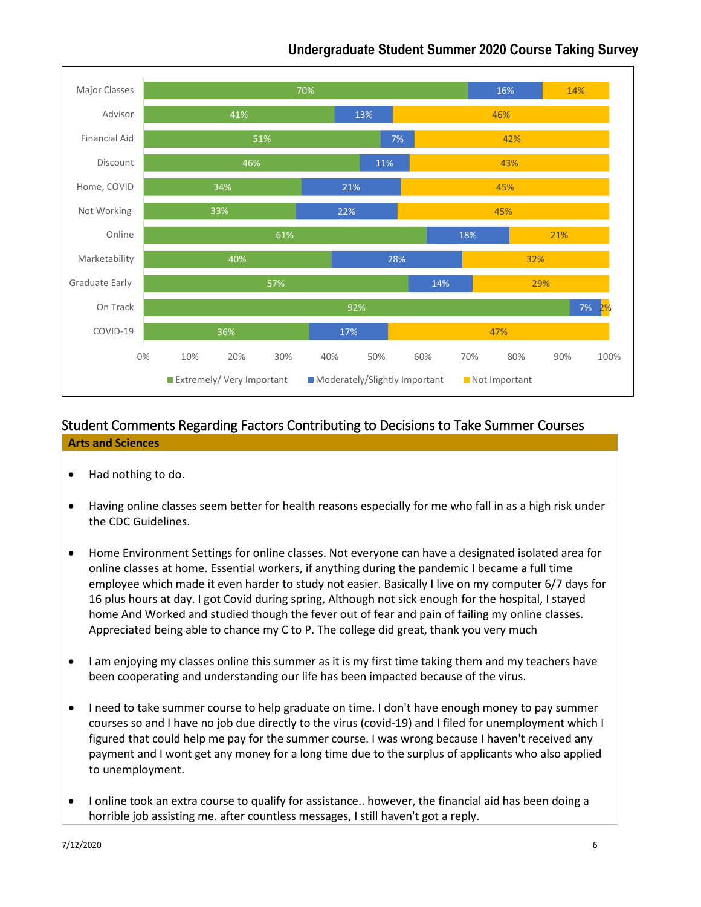

### Student Comments Regarding Factors Contributing to Decisions to Take Summer Courses

#### **Arts and Sciences**

- Had nothing to do.
- Having online classes seem better for health reasons especially for me who fall in as a high risk under the CDC Guidelines.
- Home Environment Settings for online classes. Not everyone can have a designated isolated area for online classes at home. Essential workers, if anything during the pandemic I became a full time employee which made it even harder to study not easier. Basically I live on my computer 6/7 days for 16 plus hours at day. I got Covid during spring, Although not sick enough for the hospital, I stayed home And Worked and studied though the fever out of fear and pain of failing my online classes. Appreciated being able to chance my C to P. The college did great, thank you very much
- I am enjoying my classes online this summer as it is my first time taking them and my teachers have been cooperating and understanding our life has been impacted because of the virus.
- I need to take summer course to help graduate on time. I don't have enough money to pay summer courses so and I have no job due directly to the virus (covid-19) and I filed for unemployment which I figured that could help me pay for the summer course. I was wrong because I haven't received any payment and I wont get any money for a long time due to the surplus of applicants who also applied to unemployment.
- I online took an extra course to qualify for assistance.. however, the financial aid has been doing a horrible job assisting me. after countless messages, I still haven't got a reply.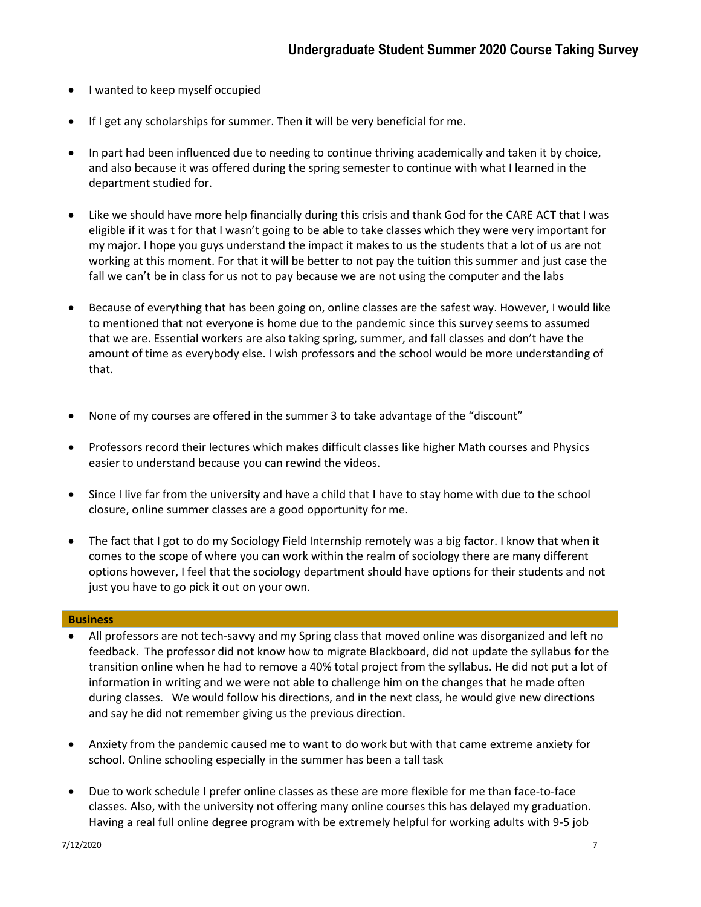- I wanted to keep myself occupied
- If I get any scholarships for summer. Then it will be very beneficial for me.
- In part had been influenced due to needing to continue thriving academically and taken it by choice, and also because it was offered during the spring semester to continue with what I learned in the department studied for.
- Like we should have more help financially during this crisis and thank God for the CARE ACT that I was eligible if it was t for that I wasn't going to be able to take classes which they were very important for my major. I hope you guys understand the impact it makes to us the students that a lot of us are not working at this moment. For that it will be better to not pay the tuition this summer and just case the fall we can't be in class for us not to pay because we are not using the computer and the labs
- Because of everything that has been going on, online classes are the safest way. However, I would like to mentioned that not everyone is home due to the pandemic since this survey seems to assumed that we are. Essential workers are also taking spring, summer, and fall classes and don't have the amount of time as everybody else. I wish professors and the school would be more understanding of that.
- None of my courses are offered in the summer 3 to take advantage of the "discount"
- Professors record their lectures which makes difficult classes like higher Math courses and Physics easier to understand because you can rewind the videos.
- Since I live far from the university and have a child that I have to stay home with due to the school closure, online summer classes are a good opportunity for me.
- The fact that I got to do my Sociology Field Internship remotely was a big factor. I know that when it comes to the scope of where you can work within the realm of sociology there are many different options however, I feel that the sociology department should have options for their students and not just you have to go pick it out on your own.

#### **Business**

- All professors are not tech-savvy and my Spring class that moved online was disorganized and left no feedback. The professor did not know how to migrate Blackboard, did not update the syllabus for the transition online when he had to remove a 40% total project from the syllabus. He did not put a lot of information in writing and we were not able to challenge him on the changes that he made often during classes. We would follow his directions, and in the next class, he would give new directions and say he did not remember giving us the previous direction.
- Anxiety from the pandemic caused me to want to do work but with that came extreme anxiety for school. Online schooling especially in the summer has been a tall task
- Due to work schedule I prefer online classes as these are more flexible for me than face-to-face classes. Also, with the university not offering many online courses this has delayed my graduation. Having a real full online degree program with be extremely helpful for working adults with 9-5 job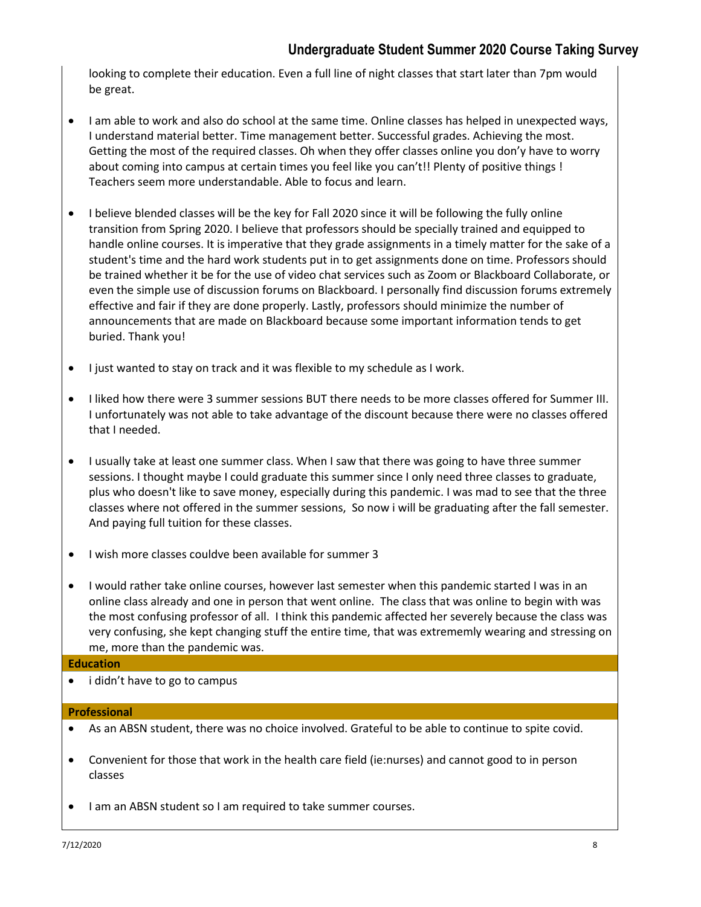looking to complete their education. Even a full line of night classes that start later than 7pm would be great.

- I am able to work and also do school at the same time. Online classes has helped in unexpected ways, I understand material better. Time management better. Successful grades. Achieving the most. Getting the most of the required classes. Oh when they offer classes online you don'y have to worry about coming into campus at certain times you feel like you can't!! Plenty of positive things ! Teachers seem more understandable. Able to focus and learn.
- I believe blended classes will be the key for Fall 2020 since it will be following the fully online transition from Spring 2020. I believe that professors should be specially trained and equipped to handle online courses. It is imperative that they grade assignments in a timely matter for the sake of a student's time and the hard work students put in to get assignments done on time. Professors should be trained whether it be for the use of video chat services such as Zoom or Blackboard Collaborate, or even the simple use of discussion forums on Blackboard. I personally find discussion forums extremely effective and fair if they are done properly. Lastly, professors should minimize the number of announcements that are made on Blackboard because some important information tends to get buried. Thank you!
- I just wanted to stay on track and it was flexible to my schedule as I work.
- I liked how there were 3 summer sessions BUT there needs to be more classes offered for Summer III. I unfortunately was not able to take advantage of the discount because there were no classes offered that I needed.
- I usually take at least one summer class. When I saw that there was going to have three summer sessions. I thought maybe I could graduate this summer since I only need three classes to graduate, plus who doesn't like to save money, especially during this pandemic. I was mad to see that the three classes where not offered in the summer sessions, So now i will be graduating after the fall semester. And paying full tuition for these classes.
- I wish more classes couldve been available for summer 3
- I would rather take online courses, however last semester when this pandemic started I was in an online class already and one in person that went online. The class that was online to begin with was the most confusing professor of all. I think this pandemic affected her severely because the class was very confusing, she kept changing stuff the entire time, that was extrememly wearing and stressing on me, more than the pandemic was.

#### **Education**

• i didn't have to go to campus

#### **Professional**

- As an ABSN student, there was no choice involved. Grateful to be able to continue to spite covid.
- Convenient for those that work in the health care field (ie:nurses) and cannot good to in person classes
- I am an ABSN student so I am required to take summer courses.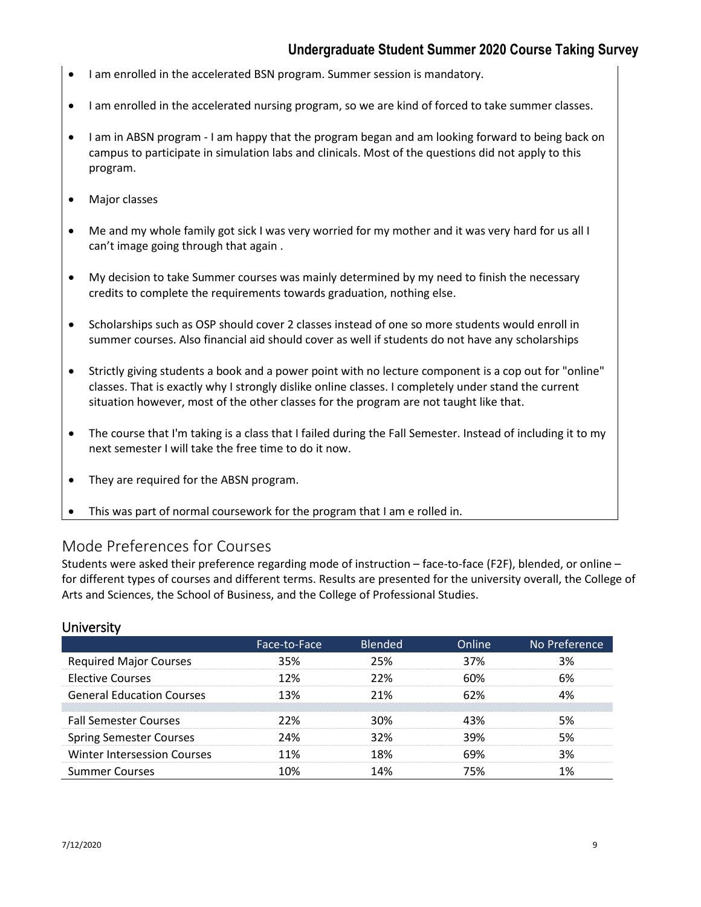- I am enrolled in the accelerated BSN program. Summer session is mandatory.
- I am enrolled in the accelerated nursing program, so we are kind of forced to take summer classes.
- I am in ABSN program I am happy that the program began and am looking forward to being back on campus to participate in simulation labs and clinicals. Most of the questions did not apply to this program.
- Major classes
- Me and my whole family got sick I was very worried for my mother and it was very hard for us all I can't image going through that again .
- My decision to take Summer courses was mainly determined by my need to finish the necessary credits to complete the requirements towards graduation, nothing else.
- Scholarships such as OSP should cover 2 classes instead of one so more students would enroll in summer courses. Also financial aid should cover as well if students do not have any scholarships
- Strictly giving students a book and a power point with no lecture component is a cop out for "online" classes. That is exactly why I strongly dislike online classes. I completely under stand the current situation however, most of the other classes for the program are not taught like that.
- The course that I'm taking is a class that I failed during the Fall Semester. Instead of including it to my next semester I will take the free time to do it now.
- They are required for the ABSN program.
- This was part of normal coursework for the program that I am e rolled in.

#### Mode Preferences for Courses

Students were asked their preference regarding mode of instruction – face-to-face (F2F), blended, or online – for different types of courses and different terms. Results are presented for the university overall, the College of Arts and Sciences, the School of Business, and the College of Professional Studies.

|                                    | Face-to-Face | <b>Blended</b> | Online | No Preference |
|------------------------------------|--------------|----------------|--------|---------------|
| <b>Required Major Courses</b>      | 35%          | 25%            | 37%    | २%            |
| <b>Elective Courses</b>            | 12%          | 22%            | 60%    | 6%            |
| <b>General Education Courses</b>   | 13%          | 21%            | 62%    |               |
|                                    |              |                |        |               |
| <b>Fall Semester Courses</b>       | 22%          | 30%            | 13%    |               |
| <b>Spring Semester Courses</b>     | ን4%          | 32%            | 39%    | 5%            |
| <b>Winter Intersession Courses</b> | 11%          | 18%            | 69%    | 3%            |
| <b>Summer Courses</b>              | በ%           |                | 75%    |               |

#### **University**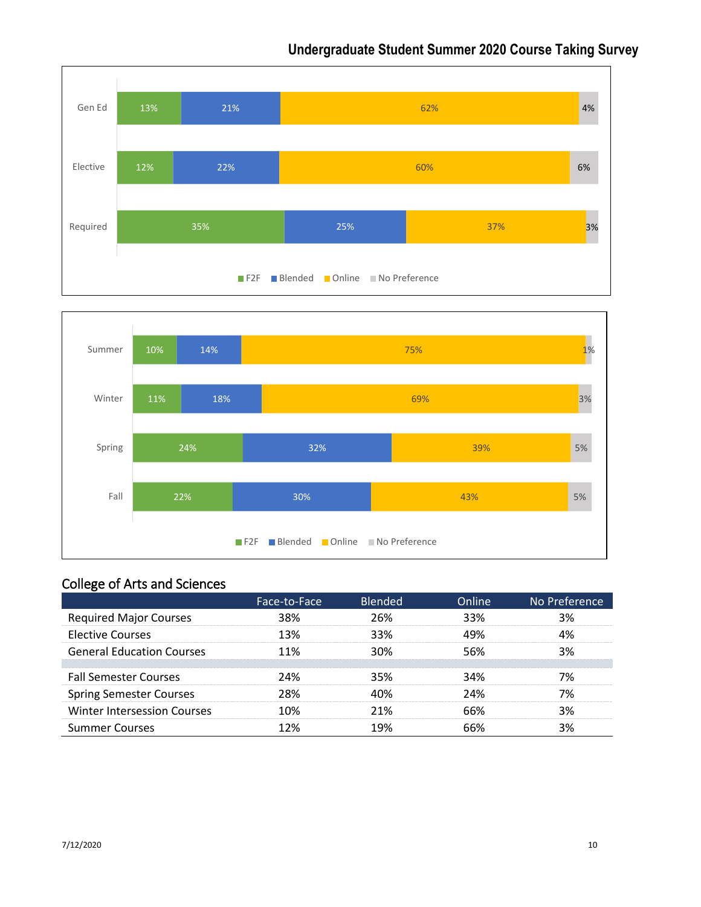



### College of Arts and Sciences

|                                    | Face-to-Face | <b>Blended</b> | Online | No Preference |
|------------------------------------|--------------|----------------|--------|---------------|
| <b>Required Major Courses</b>      | 38%          | 26%            | 33%    | 3%            |
| <b>Elective Courses</b>            | 13%          | 33%            | 49%    |               |
| <b>General Education Courses</b>   | 11%          | 30%            | 56%    | 3%            |
|                                    |              |                |        |               |
| <b>Fall Semester Courses</b>       | 24%          | 35%            | 34%    |               |
| <b>Spring Semester Courses</b>     | 28%          |                | 24%    |               |
| <b>Winter Intersession Courses</b> | 1በ%          | 21%            | ሐና%    | 3%            |
| <b>Summer Courses</b>              |              |                |        |               |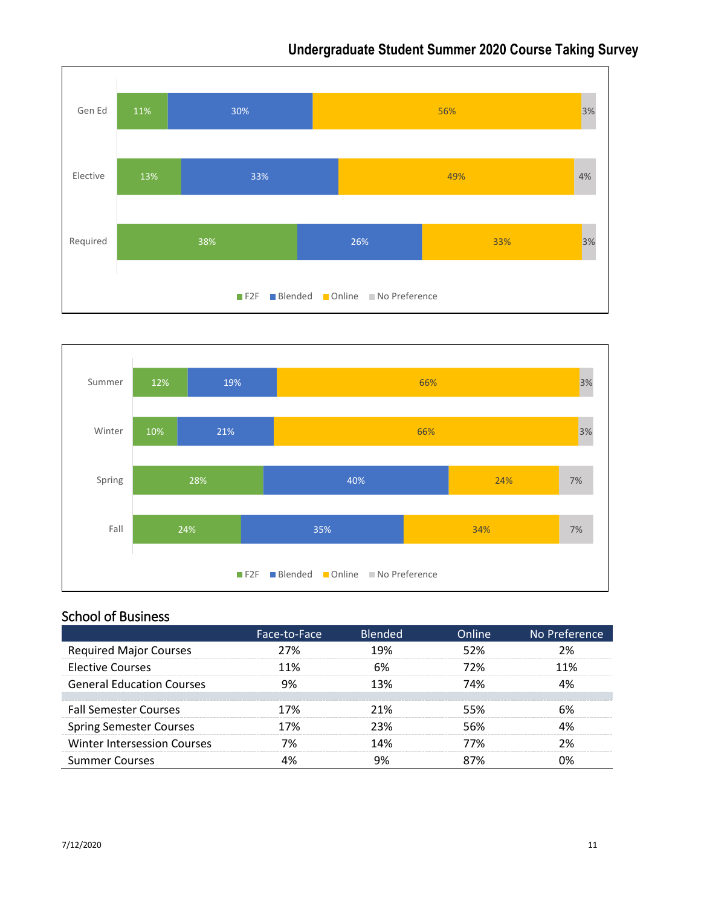



### School of Business

|                                    | Face-to-Face | <b>Blended</b> | Online | No Preference |
|------------------------------------|--------------|----------------|--------|---------------|
| <b>Required Major Courses</b>      | 27%          | 19%            | 52%    | ን%            |
| <b>Elective Courses</b>            | 11%          | 6%             | 72%    | 11%           |
| <b>General Education Courses</b>   | 9%           | 13%            | 74%    |               |
| <b>Fall Semester Courses</b>       | 17%          | 21%            | 55%    | 6%            |
| <b>Spring Semester Courses</b>     | 17%          | 23%            | 56%    |               |
| <b>Winter Intersession Courses</b> | 7%           | 14%            | 77%    | ን%            |
| <b>Summer Courses</b>              |              |                | 87%    |               |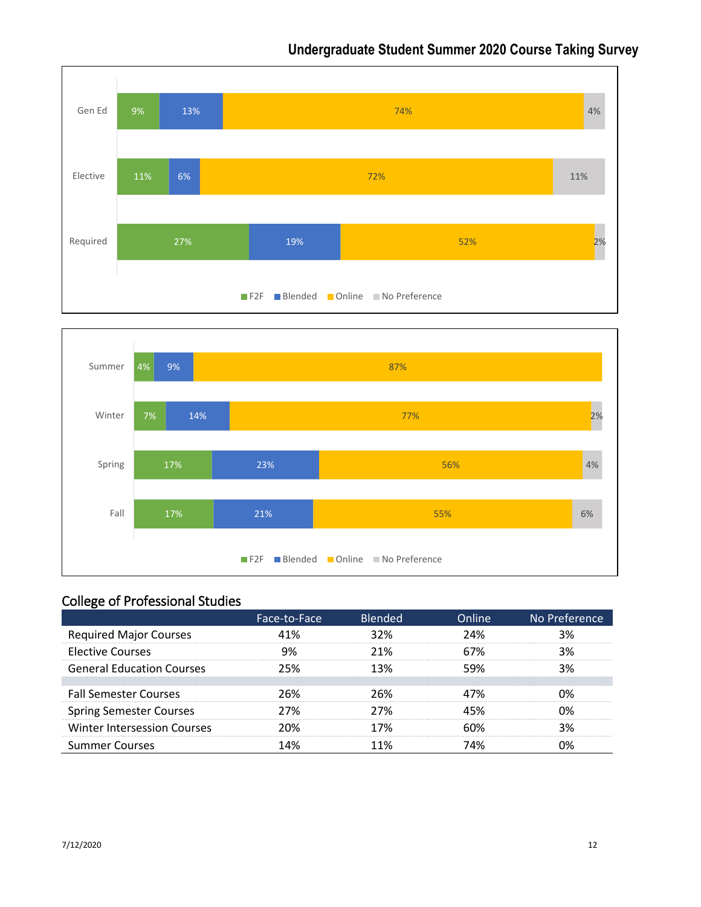



# College of Professional Studies

|                                  | Face-to-Face | <b>Blended</b> | Online | No Preference |
|----------------------------------|--------------|----------------|--------|---------------|
| <b>Required Major Courses</b>    | 41%          | 32%            | 24%    | 3%            |
| <b>Elective Courses</b>          | 9%           | 21%            | 67%    | 3%            |
| <b>General Education Courses</b> | 25%          | 13%            | 59%    | 3%            |
|                                  |              |                |        |               |
| <b>Fall Semester Courses</b>     | 26%          | 26%            | 47%    | በ%            |
| <b>Spring Semester Courses</b>   | ን7%          | ን7%            | 45%    | በ%            |
| Winter Intersession Courses      | 20%          | 17%            | ናህል    | 3%            |
| <b>Summer Courses</b>            | 14%          | 11%            | 74%    |               |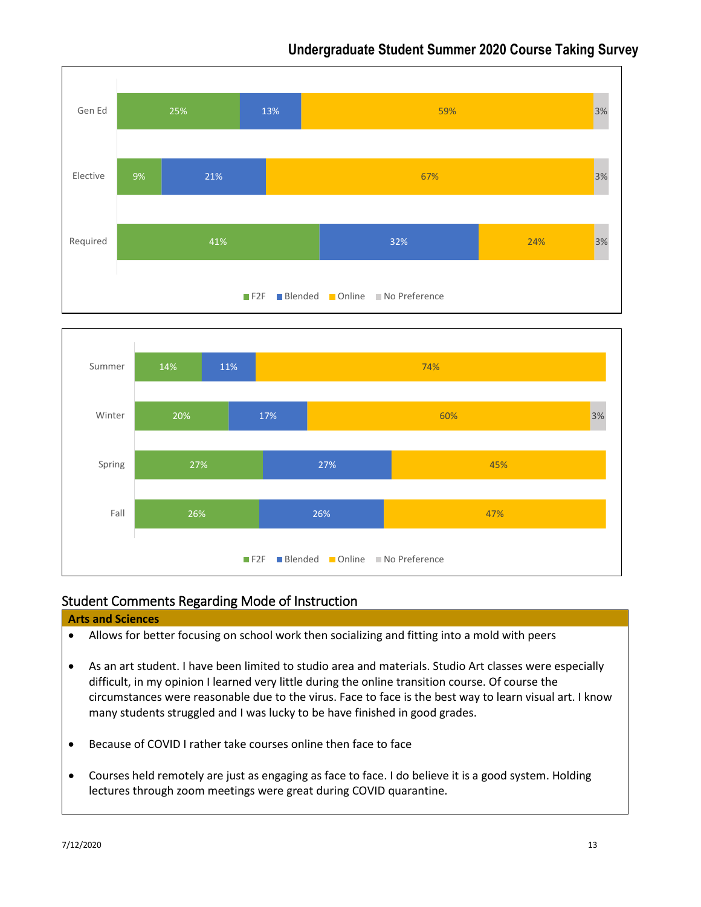



#### Student Comments Regarding Mode of Instruction

#### **Arts and Sciences**

- Allows for better focusing on school work then socializing and fitting into a mold with peers
- As an art student. I have been limited to studio area and materials. Studio Art classes were especially difficult, in my opinion I learned very little during the online transition course. Of course the circumstances were reasonable due to the virus. Face to face is the best way to learn visual art. I know many students struggled and I was lucky to be have finished in good grades.
- Because of COVID I rather take courses online then face to face
- Courses held remotely are just as engaging as face to face. I do believe it is a good system. Holding lectures through zoom meetings were great during COVID quarantine.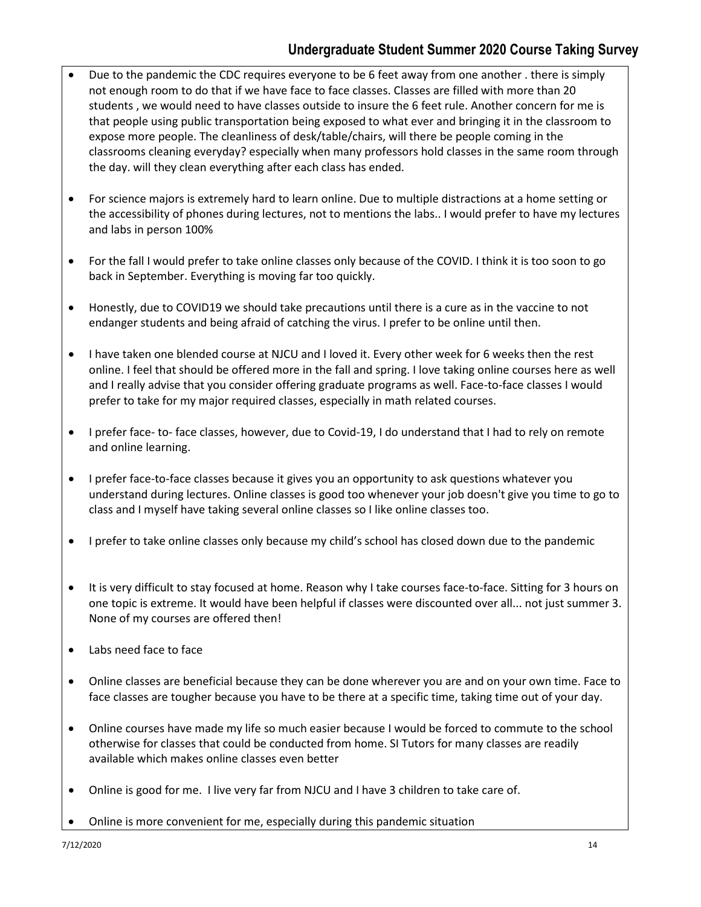- Due to the pandemic the CDC requires everyone to be 6 feet away from one another . there is simply not enough room to do that if we have face to face classes. Classes are filled with more than 20 students , we would need to have classes outside to insure the 6 feet rule. Another concern for me is that people using public transportation being exposed to what ever and bringing it in the classroom to expose more people. The cleanliness of desk/table/chairs, will there be people coming in the classrooms cleaning everyday? especially when many professors hold classes in the same room through the day. will they clean everything after each class has ended.
- For science majors is extremely hard to learn online. Due to multiple distractions at a home setting or the accessibility of phones during lectures, not to mentions the labs.. I would prefer to have my lectures and labs in person 100%
- For the fall I would prefer to take online classes only because of the COVID. I think it is too soon to go back in September. Everything is moving far too quickly.
- Honestly, due to COVID19 we should take precautions until there is a cure as in the vaccine to not endanger students and being afraid of catching the virus. I prefer to be online until then.
- I have taken one blended course at NJCU and I loved it. Every other week for 6 weeks then the rest online. I feel that should be offered more in the fall and spring. I love taking online courses here as well and I really advise that you consider offering graduate programs as well. Face-to-face classes I would prefer to take for my major required classes, especially in math related courses.
- I prefer face- to- face classes, however, due to Covid-19, I do understand that I had to rely on remote and online learning.
- I prefer face-to-face classes because it gives you an opportunity to ask questions whatever you understand during lectures. Online classes is good too whenever your job doesn't give you time to go to class and I myself have taking several online classes so I like online classes too.
- I prefer to take online classes only because my child's school has closed down due to the pandemic
- It is very difficult to stay focused at home. Reason why I take courses face-to-face. Sitting for 3 hours on one topic is extreme. It would have been helpful if classes were discounted over all... not just summer 3. None of my courses are offered then!
- Labs need face to face
- Online classes are beneficial because they can be done wherever you are and on your own time. Face to face classes are tougher because you have to be there at a specific time, taking time out of your day.
- Online courses have made my life so much easier because I would be forced to commute to the school otherwise for classes that could be conducted from home. SI Tutors for many classes are readily available which makes online classes even better
- Online is good for me. I live very far from NJCU and I have 3 children to take care of.
- Online is more convenient for me, especially during this pandemic situation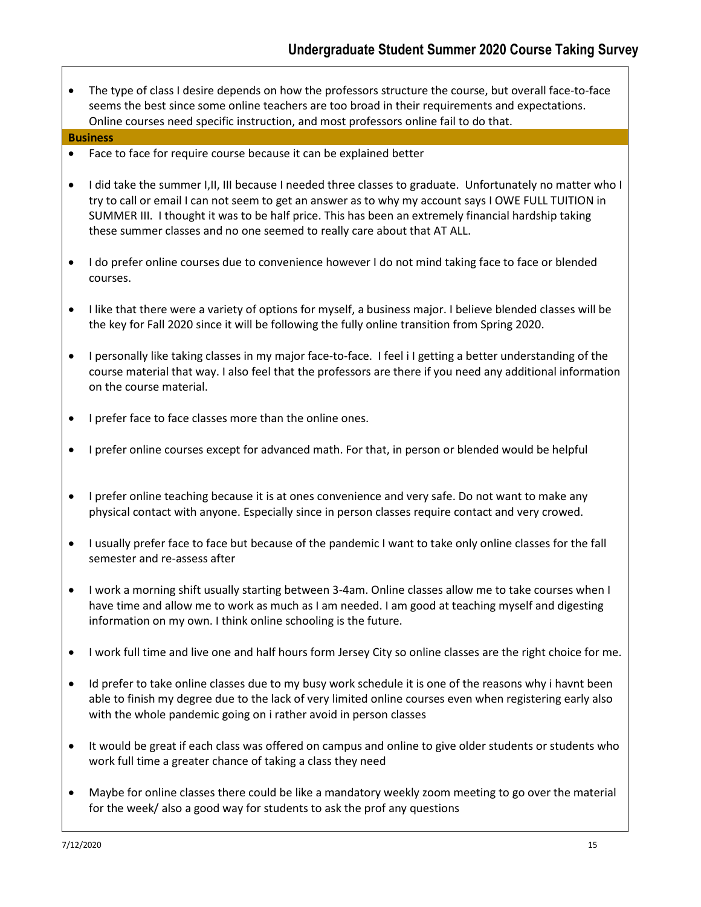• The type of class I desire depends on how the professors structure the course, but overall face-to-face seems the best since some online teachers are too broad in their requirements and expectations. Online courses need specific instruction, and most professors online fail to do that.

#### **Business**

- Face to face for require course because it can be explained better
- I did take the summer I,II, III because I needed three classes to graduate. Unfortunately no matter who I try to call or email I can not seem to get an answer as to why my account says I OWE FULL TUITION in SUMMER III. I thought it was to be half price. This has been an extremely financial hardship taking these summer classes and no one seemed to really care about that AT ALL.
- I do prefer online courses due to convenience however I do not mind taking face to face or blended courses.
- I like that there were a variety of options for myself, a business major. I believe blended classes will be the key for Fall 2020 since it will be following the fully online transition from Spring 2020.
- I personally like taking classes in my major face-to-face. I feel i I getting a better understanding of the course material that way. I also feel that the professors are there if you need any additional information on the course material.
- I prefer face to face classes more than the online ones.
- I prefer online courses except for advanced math. For that, in person or blended would be helpful
- I prefer online teaching because it is at ones convenience and very safe. Do not want to make any physical contact with anyone. Especially since in person classes require contact and very crowed.
- I usually prefer face to face but because of the pandemic I want to take only online classes for the fall semester and re-assess after
- I work a morning shift usually starting between 3-4am. Online classes allow me to take courses when I have time and allow me to work as much as I am needed. I am good at teaching myself and digesting information on my own. I think online schooling is the future.
- I work full time and live one and half hours form Jersey City so online classes are the right choice for me.
- Id prefer to take online classes due to my busy work schedule it is one of the reasons why i havnt been able to finish my degree due to the lack of very limited online courses even when registering early also with the whole pandemic going on i rather avoid in person classes
- It would be great if each class was offered on campus and online to give older students or students who work full time a greater chance of taking a class they need
- Maybe for online classes there could be like a mandatory weekly zoom meeting to go over the material for the week/ also a good way for students to ask the prof any questions